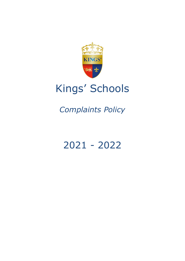

# Kings' Schools

## *Complaints Policy*

## 2021 - 2022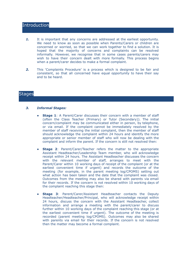### **Introduction**

- 1. It is important that any concerns are addressed at the earliest opportunity. We need to know as soon as possible when Parents/Carers or children are concerned or worried, so that we can work together to find a solution. It is hoped that the majority of concerns and complaints can be resolved informally. However, we recognise that in some cases parents/carers may wish to have their concern dealt with more formally. This process begins when a parent/carer decides to make a formal complaint.
- *2.* This 'Complaints Procedure' is a process which is designed to be fair and consistent, so that all concerned have equal opportunity to have their say and to be heard.

### **Stages**

#### *3. Informal Stages:*

- **Stage 1**: A Parent/Carer discusses their concern with a member of staff (often the Class Teacher (Primary) or Tutor (Secondary)). The initial concern/complaint may be communicated either in person, by telephone, or via email. If the complaint cannot be immediately resolved by the member of staff receiving the initial complaint, then the member of staff should acknowledge the complaint within 24 hours and identify the more appropriate or senior member of staff who will now be dealing with the complaint and inform the parent. If the concern is still not resolved then:
- **Stage 2**: Parent/Carer/Teacher refers the matter to the appropriate Assistant Headteacher/Leadership Team member, who will acknowledge receipt within 24 hours. The Assistant Headteacher discusses the concern with the relevant member of staff, arranges to meet with the Parent/Carer within 10 working days of receipt of the complaint (or at the earliest convenient time if urgent) and records the outcome of the meeting (for example, in the parent meeting log/CPOMS) setting out what action has been taken and the date that the complaint was closed. Outcomes from the meeting may also be shared with parents via email for their records. If the concern is not resolved within 10 working days of the complaint reaching this stage then:
- **Stage 3**: Parent/Carer/Assistant Headteacher contacts the Deputy Headteacher/Headteacher/Principal, who will acknowledge receipt within 24 hours, discuss the concern with the Assistant Headteacher, collect information and arrange a meeting with the parent/carer to discuss further within 10 working days of the complaint reaching this stage (or at the earliest convenient time if urgent). The outcome of the meeting is recorded (parent meeting log/CPOMS). Outcomes may also be shared with parents via email for their records. If the concern is not resolved then the matter may become a formal complaint.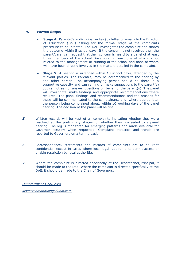#### *4. Formal Stage:*

- **Stage 4: Parent/Carer/Principal writes (by letter or email) to the Director** of Education (DoE) asking for the formal stage of the complaints procedure to be initiated. The DoE investigates the complaint and shares the outcome within 5 school days. If the concern is not resolved then the parent/carer can request that their concern is heard by a panel of at least three members of the school Governors, at least one of which is not related to the management or running of the school and none of whom will have been directly involved in the matters detailed in the complaint.
- **Stage 5**: A hearing is arranged within 10 school days, attended by the relevant parties. The Parent(s) may be accompanied to the hearing by one other person. The accompanying person should be there in a supportive capacity and can remind or make suggestions to the parent(s) but cannot ask or answer questions on behalf of the parent(s). The panel will investigate, make findings and appropriate recommendations where required. The panel findings and recommendations and the reasons for these will be communicated to the complainant, and, where appropriate, the person being complained about, within 10 working days of the panel hearing. The decision of the panel will be final.
- **5.** Written records will be kept of all complaints indicating whether they were resolved at the preliminary stages, or whether they proceeded to a panel hearing. The log is monitored for emerging patterns and made available for Governor scrutiny when requested. Complaint statistics and trends are reported to Governors on a termly basis.
- *6.* Correspondence, statements and records of complaints are to be kept confidential, except in cases where local legal requirements permit access or enable restriction by local authorities.
- *7.* Where the complaint is directed specifically at the Headteacher/Principal, it should be made to the DoE. Where the complaint is directed specifically at the DoE, it should be made to the Chair of Governors.

*[Director@kings-edu.com](mailto:Director@kings-edu.com)*

*[kevinstedman@kingsdubai.com](mailto:kevinstedman@kingsdubai.com)*